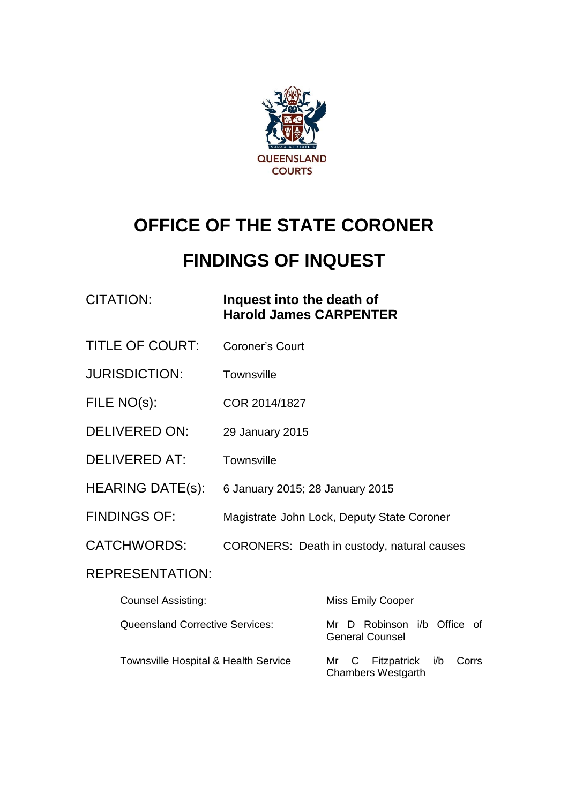

# **OFFICE OF THE STATE CORONER**

# **FINDINGS OF INQUEST**

#### CITATION: **Inquest into the death of Harold James CARPENTER**

- TITLE OF COURT: Coroner's Court
- JURISDICTION: Townsville
- FILE NO(s): COR 2014/1827
- DELIVERED ON: 29 January 2015
- DELIVERED AT: Townsville
- HEARING DATE(s): 6 January 2015; 28 January 2015
- FINDINGS OF: Magistrate John Lock, Deputy State Coroner
- CATCHWORDS: CORONERS: Death in custody, natural causes

#### REPRESENTATION:

| <b>Counsel Assisting:</b>                       | <b>Miss Emily Cooper</b>                                |
|-------------------------------------------------|---------------------------------------------------------|
| Queensland Corrective Services:                 | Mr D Robinson i/b Office of<br><b>General Counsel</b>   |
| <b>Townsville Hospital &amp; Health Service</b> | Mr C Fitzpatrick i/b Corrs<br><b>Chambers Westgarth</b> |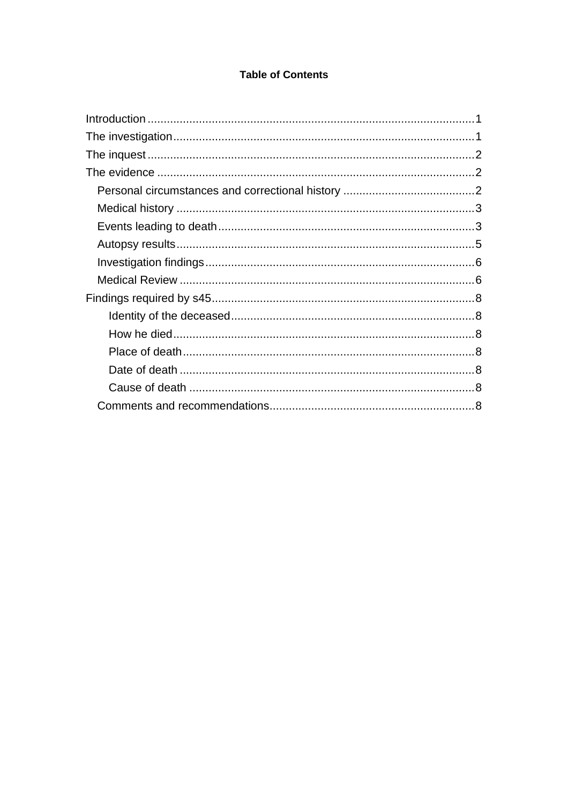#### **Table of Contents**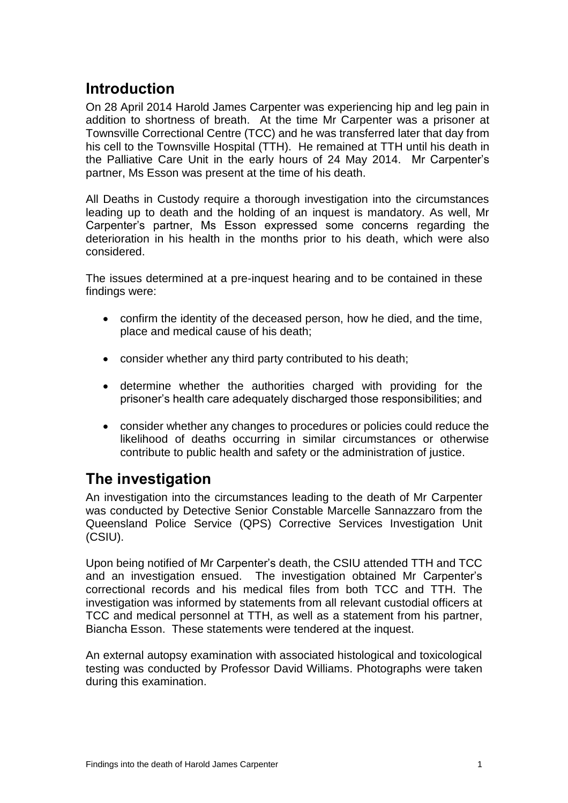## <span id="page-2-0"></span>**Introduction**

On 28 April 2014 Harold James Carpenter was experiencing hip and leg pain in addition to shortness of breath. At the time Mr Carpenter was a prisoner at Townsville Correctional Centre (TCC) and he was transferred later that day from his cell to the Townsville Hospital (TTH). He remained at TTH until his death in the Palliative Care Unit in the early hours of 24 May 2014. Mr Carpenter's partner, Ms Esson was present at the time of his death.

All Deaths in Custody require a thorough investigation into the circumstances leading up to death and the holding of an inquest is mandatory. As well, Mr Carpenter's partner, Ms Esson expressed some concerns regarding the deterioration in his health in the months prior to his death, which were also considered.

The issues determined at a pre-inquest hearing and to be contained in these findings were:

- confirm the identity of the deceased person, how he died, and the time, place and medical cause of his death;
- consider whether any third party contributed to his death;
- determine whether the authorities charged with providing for the prisoner's health care adequately discharged those responsibilities; and
- consider whether any changes to procedures or policies could reduce the likelihood of deaths occurring in similar circumstances or otherwise contribute to public health and safety or the administration of justice.

## <span id="page-2-1"></span>**The investigation**

An investigation into the circumstances leading to the death of Mr Carpenter was conducted by Detective Senior Constable Marcelle Sannazzaro from the Queensland Police Service (QPS) Corrective Services Investigation Unit (CSIU).

Upon being notified of Mr Carpenter's death, the CSIU attended TTH and TCC and an investigation ensued. The investigation obtained Mr Carpenter's correctional records and his medical files from both TCC and TTH. The investigation was informed by statements from all relevant custodial officers at TCC and medical personnel at TTH, as well as a statement from his partner, Biancha Esson. These statements were tendered at the inquest.

An external autopsy examination with associated histological and toxicological testing was conducted by Professor David Williams. Photographs were taken during this examination.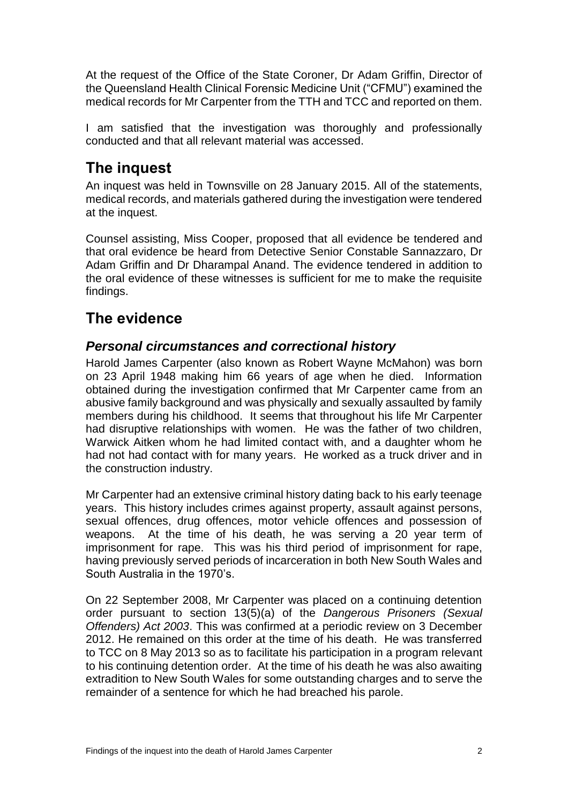At the request of the Office of the State Coroner, Dr Adam Griffin, Director of the Queensland Health Clinical Forensic Medicine Unit ("CFMU") examined the medical records for Mr Carpenter from the TTH and TCC and reported on them.

I am satisfied that the investigation was thoroughly and professionally conducted and that all relevant material was accessed.

## <span id="page-3-0"></span>**The inquest**

An inquest was held in Townsville on 28 January 2015. All of the statements, medical records, and materials gathered during the investigation were tendered at the inquest.

Counsel assisting, Miss Cooper, proposed that all evidence be tendered and that oral evidence be heard from Detective Senior Constable Sannazzaro, Dr Adam Griffin and Dr Dharampal Anand. The evidence tendered in addition to the oral evidence of these witnesses is sufficient for me to make the requisite findings.

## <span id="page-3-1"></span>**The evidence**

#### <span id="page-3-2"></span>*Personal circumstances and correctional history*

Harold James Carpenter (also known as Robert Wayne McMahon) was born on 23 April 1948 making him 66 years of age when he died. Information obtained during the investigation confirmed that Mr Carpenter came from an abusive family background and was physically and sexually assaulted by family members during his childhood. It seems that throughout his life Mr Carpenter had disruptive relationships with women. He was the father of two children, Warwick Aitken whom he had limited contact with, and a daughter whom he had not had contact with for many years. He worked as a truck driver and in the construction industry.

Mr Carpenter had an extensive criminal history dating back to his early teenage years. This history includes crimes against property, assault against persons, sexual offences, drug offences, motor vehicle offences and possession of weapons. At the time of his death, he was serving a 20 year term of imprisonment for rape. This was his third period of imprisonment for rape, having previously served periods of incarceration in both New South Wales and South Australia in the 1970's.

On 22 September 2008, Mr Carpenter was placed on a continuing detention order pursuant to section 13(5)(a) of the *Dangerous Prisoners (Sexual Offenders) Act 2003*. This was confirmed at a periodic review on 3 December 2012. He remained on this order at the time of his death. He was transferred to TCC on 8 May 2013 so as to facilitate his participation in a program relevant to his continuing detention order. At the time of his death he was also awaiting extradition to New South Wales for some outstanding charges and to serve the remainder of a sentence for which he had breached his parole.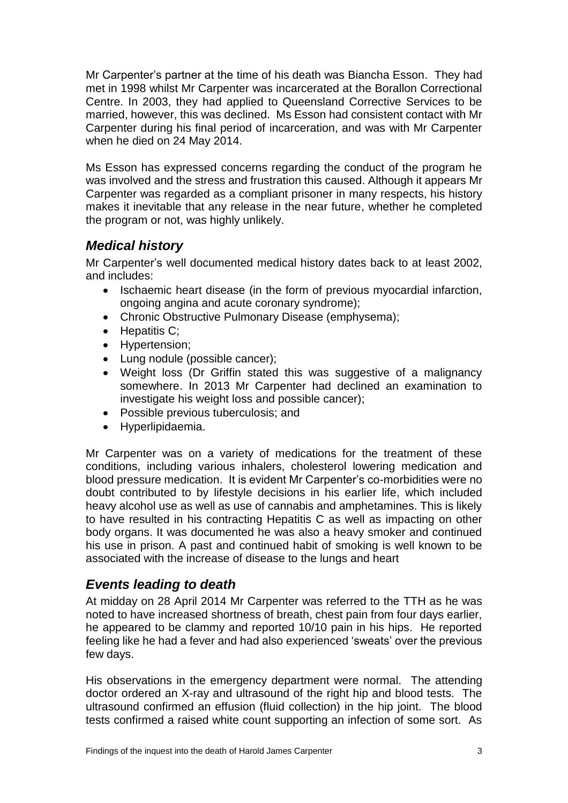Mr Carpenter's partner at the time of his death was Biancha Esson. They had met in 1998 whilst Mr Carpenter was incarcerated at the Borallon Correctional Centre. In 2003, they had applied to Queensland Corrective Services to be married, however, this was declined. Ms Esson had consistent contact with Mr Carpenter during his final period of incarceration, and was with Mr Carpenter when he died on 24 May 2014.

Ms Esson has expressed concerns regarding the conduct of the program he was involved and the stress and frustration this caused. Although it appears Mr Carpenter was regarded as a compliant prisoner in many respects, his history makes it inevitable that any release in the near future, whether he completed the program or not, was highly unlikely.

#### <span id="page-4-0"></span>*Medical history*

Mr Carpenter's well documented medical history dates back to at least 2002, and includes:

- Ischaemic heart disease (in the form of previous myocardial infarction, ongoing angina and acute coronary syndrome);
- Chronic Obstructive Pulmonary Disease (emphysema);
- $\bullet$  Hepatitis C;
- Hypertension;
- Lung nodule (possible cancer);
- Weight loss (Dr Griffin stated this was suggestive of a malignancy somewhere. In 2013 Mr Carpenter had declined an examination to investigate his weight loss and possible cancer);
- Possible previous tuberculosis; and
- Hyperlipidaemia.

Mr Carpenter was on a variety of medications for the treatment of these conditions, including various inhalers, cholesterol lowering medication and blood pressure medication. It is evident Mr Carpenter's co-morbidities were no doubt contributed to by lifestyle decisions in his earlier life, which included heavy alcohol use as well as use of cannabis and amphetamines. This is likely to have resulted in his contracting Hepatitis C as well as impacting on other body organs. It was documented he was also a heavy smoker and continued his use in prison. A past and continued habit of smoking is well known to be associated with the increase of disease to the lungs and heart

#### <span id="page-4-1"></span>*Events leading to death*

At midday on 28 April 2014 Mr Carpenter was referred to the TTH as he was noted to have increased shortness of breath, chest pain from four days earlier, he appeared to be clammy and reported 10/10 pain in his hips. He reported feeling like he had a fever and had also experienced 'sweats' over the previous few days.

His observations in the emergency department were normal. The attending doctor ordered an X-ray and ultrasound of the right hip and blood tests. The ultrasound confirmed an effusion (fluid collection) in the hip joint. The blood tests confirmed a raised white count supporting an infection of some sort. As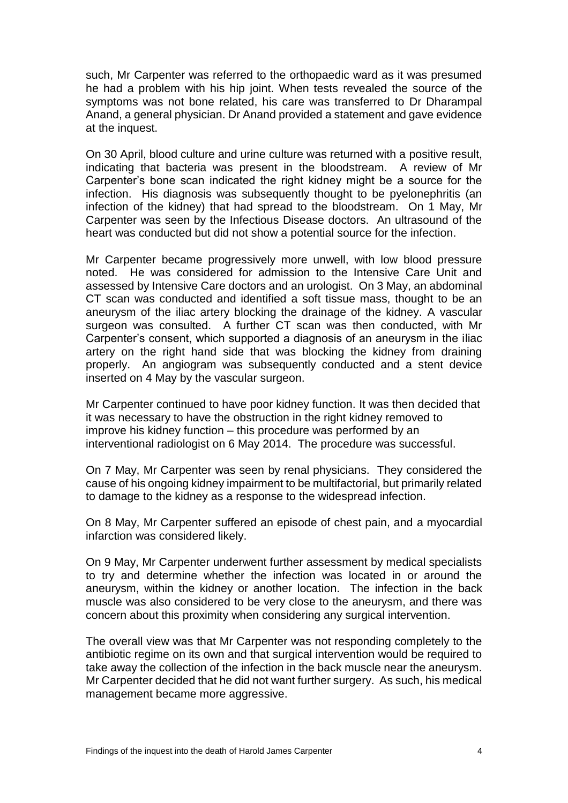such, Mr Carpenter was referred to the orthopaedic ward as it was presumed he had a problem with his hip joint. When tests revealed the source of the symptoms was not bone related, his care was transferred to Dr Dharampal Anand, a general physician. Dr Anand provided a statement and gave evidence at the inquest.

On 30 April, blood culture and urine culture was returned with a positive result, indicating that bacteria was present in the bloodstream. A review of Mr Carpenter's bone scan indicated the right kidney might be a source for the infection. His diagnosis was subsequently thought to be pyelonephritis (an infection of the kidney) that had spread to the bloodstream. On 1 May, Mr Carpenter was seen by the Infectious Disease doctors. An ultrasound of the heart was conducted but did not show a potential source for the infection.

Mr Carpenter became progressively more unwell, with low blood pressure noted. He was considered for admission to the Intensive Care Unit and assessed by Intensive Care doctors and an urologist. On 3 May, an abdominal CT scan was conducted and identified a soft tissue mass, thought to be an aneurysm of the iliac artery blocking the drainage of the kidney. A vascular surgeon was consulted. A further CT scan was then conducted, with Mr Carpenter's consent, which supported a diagnosis of an aneurysm in the iliac artery on the right hand side that was blocking the kidney from draining properly. An angiogram was subsequently conducted and a stent device inserted on 4 May by the vascular surgeon.

Mr Carpenter continued to have poor kidney function. It was then decided that it was necessary to have the obstruction in the right kidney removed to improve his kidney function – this procedure was performed by an interventional radiologist on 6 May 2014. The procedure was successful.

On 7 May, Mr Carpenter was seen by renal physicians. They considered the cause of his ongoing kidney impairment to be multifactorial, but primarily related to damage to the kidney as a response to the widespread infection.

On 8 May, Mr Carpenter suffered an episode of chest pain, and a myocardial infarction was considered likely.

On 9 May, Mr Carpenter underwent further assessment by medical specialists to try and determine whether the infection was located in or around the aneurysm, within the kidney or another location. The infection in the back muscle was also considered to be very close to the aneurysm, and there was concern about this proximity when considering any surgical intervention.

The overall view was that Mr Carpenter was not responding completely to the antibiotic regime on its own and that surgical intervention would be required to take away the collection of the infection in the back muscle near the aneurysm. Mr Carpenter decided that he did not want further surgery. As such, his medical management became more aggressive.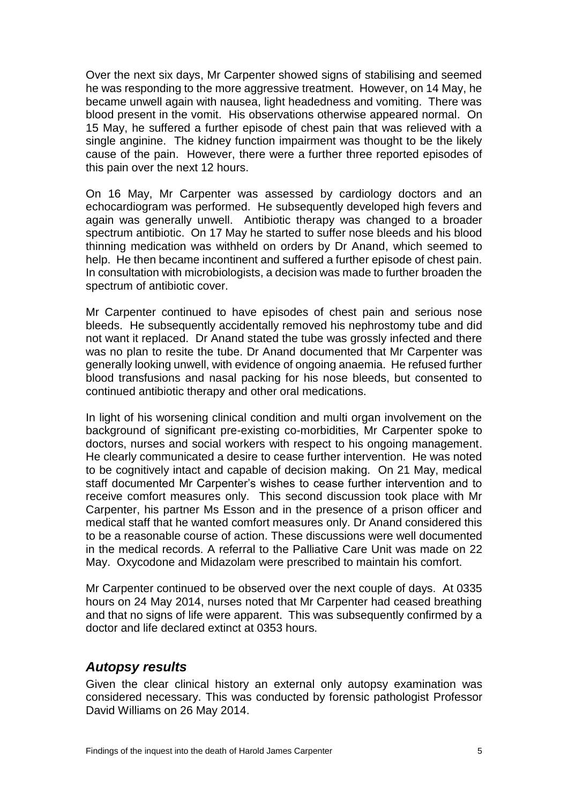Over the next six days, Mr Carpenter showed signs of stabilising and seemed he was responding to the more aggressive treatment. However, on 14 May, he became unwell again with nausea, light headedness and vomiting. There was blood present in the vomit. His observations otherwise appeared normal. On 15 May, he suffered a further episode of chest pain that was relieved with a single anginine. The kidney function impairment was thought to be the likely cause of the pain. However, there were a further three reported episodes of this pain over the next 12 hours.

On 16 May, Mr Carpenter was assessed by cardiology doctors and an echocardiogram was performed. He subsequently developed high fevers and again was generally unwell. Antibiotic therapy was changed to a broader spectrum antibiotic. On 17 May he started to suffer nose bleeds and his blood thinning medication was withheld on orders by Dr Anand, which seemed to help. He then became incontinent and suffered a further episode of chest pain. In consultation with microbiologists, a decision was made to further broaden the spectrum of antibiotic cover.

Mr Carpenter continued to have episodes of chest pain and serious nose bleeds. He subsequently accidentally removed his nephrostomy tube and did not want it replaced. Dr Anand stated the tube was grossly infected and there was no plan to resite the tube. Dr Anand documented that Mr Carpenter was generally looking unwell, with evidence of ongoing anaemia. He refused further blood transfusions and nasal packing for his nose bleeds, but consented to continued antibiotic therapy and other oral medications.

In light of his worsening clinical condition and multi organ involvement on the background of significant pre-existing co-morbidities, Mr Carpenter spoke to doctors, nurses and social workers with respect to his ongoing management. He clearly communicated a desire to cease further intervention. He was noted to be cognitively intact and capable of decision making. On 21 May, medical staff documented Mr Carpenter's wishes to cease further intervention and to receive comfort measures only. This second discussion took place with Mr Carpenter, his partner Ms Esson and in the presence of a prison officer and medical staff that he wanted comfort measures only. Dr Anand considered this to be a reasonable course of action. These discussions were well documented in the medical records. A referral to the Palliative Care Unit was made on 22 May. Oxycodone and Midazolam were prescribed to maintain his comfort.

Mr Carpenter continued to be observed over the next couple of days. At 0335 hours on 24 May 2014, nurses noted that Mr Carpenter had ceased breathing and that no signs of life were apparent. This was subsequently confirmed by a doctor and life declared extinct at 0353 hours.

#### <span id="page-6-0"></span>*Autopsy results*

Given the clear clinical history an external only autopsy examination was considered necessary. This was conducted by forensic pathologist Professor David Williams on 26 May 2014.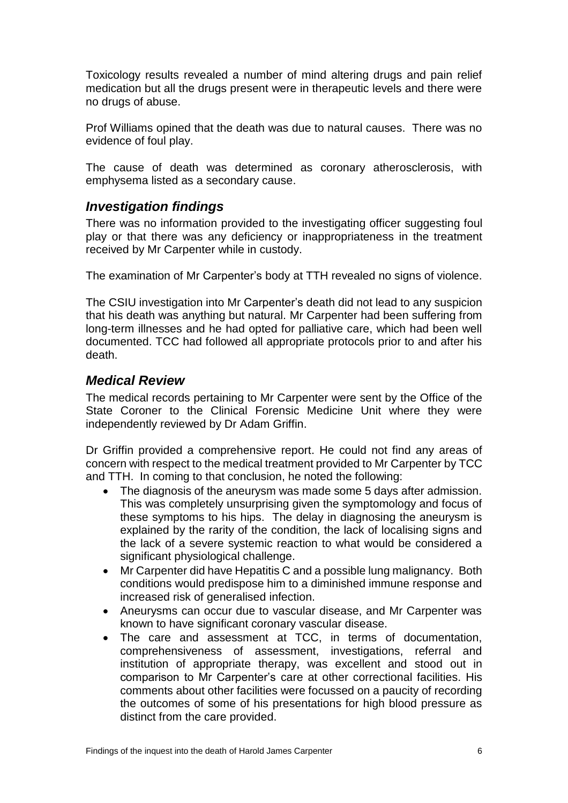Toxicology results revealed a number of mind altering drugs and pain relief medication but all the drugs present were in therapeutic levels and there were no drugs of abuse.

Prof Williams opined that the death was due to natural causes. There was no evidence of foul play.

The cause of death was determined as coronary atherosclerosis, with emphysema listed as a secondary cause.

#### <span id="page-7-0"></span>*Investigation findings*

There was no information provided to the investigating officer suggesting foul play or that there was any deficiency or inappropriateness in the treatment received by Mr Carpenter while in custody.

The examination of Mr Carpenter's body at TTH revealed no signs of violence.

The CSIU investigation into Mr Carpenter's death did not lead to any suspicion that his death was anything but natural. Mr Carpenter had been suffering from long-term illnesses and he had opted for palliative care, which had been well documented. TCC had followed all appropriate protocols prior to and after his death.

#### <span id="page-7-1"></span>*Medical Review*

The medical records pertaining to Mr Carpenter were sent by the Office of the State Coroner to the Clinical Forensic Medicine Unit where they were independently reviewed by Dr Adam Griffin.

Dr Griffin provided a comprehensive report. He could not find any areas of concern with respect to the medical treatment provided to Mr Carpenter by TCC and TTH. In coming to that conclusion, he noted the following:

- The diagnosis of the aneurysm was made some 5 days after admission. This was completely unsurprising given the symptomology and focus of these symptoms to his hips. The delay in diagnosing the aneurysm is explained by the rarity of the condition, the lack of localising signs and the lack of a severe systemic reaction to what would be considered a significant physiological challenge.
- Mr Carpenter did have Hepatitis C and a possible lung malignancy. Both conditions would predispose him to a diminished immune response and increased risk of generalised infection.
- Aneurysms can occur due to vascular disease, and Mr Carpenter was known to have significant coronary vascular disease.
- The care and assessment at TCC, in terms of documentation, comprehensiveness of assessment, investigations, referral and institution of appropriate therapy, was excellent and stood out in comparison to Mr Carpenter's care at other correctional facilities. His comments about other facilities were focussed on a paucity of recording the outcomes of some of his presentations for high blood pressure as distinct from the care provided.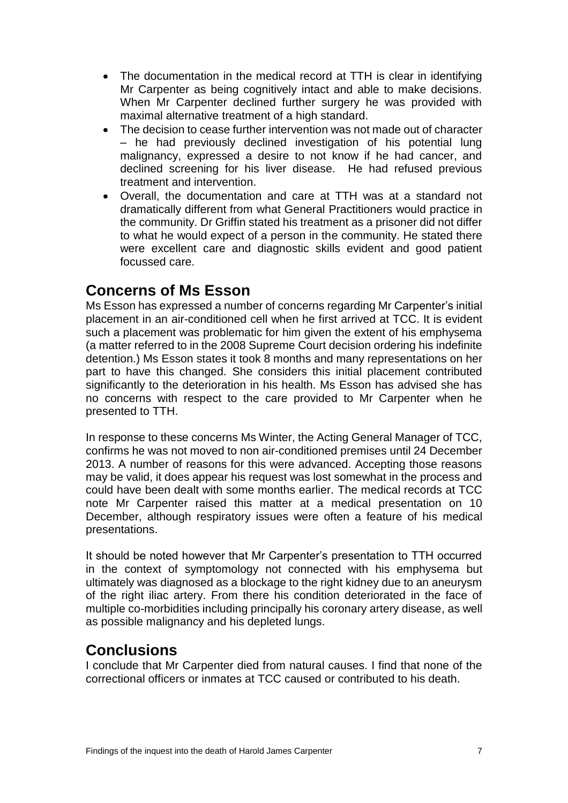- The documentation in the medical record at TTH is clear in identifying Mr Carpenter as being cognitively intact and able to make decisions. When Mr Carpenter declined further surgery he was provided with maximal alternative treatment of a high standard.
- The decision to cease further intervention was not made out of character – he had previously declined investigation of his potential lung malignancy, expressed a desire to not know if he had cancer, and declined screening for his liver disease. He had refused previous treatment and intervention.
- Overall, the documentation and care at TTH was at a standard not dramatically different from what General Practitioners would practice in the community. Dr Griffin stated his treatment as a prisoner did not differ to what he would expect of a person in the community. He stated there were excellent care and diagnostic skills evident and good patient focussed care.

#### **Concerns of Ms Esson**

Ms Esson has expressed a number of concerns regarding Mr Carpenter's initial placement in an air-conditioned cell when he first arrived at TCC. It is evident such a placement was problematic for him given the extent of his emphysema (a matter referred to in the 2008 Supreme Court decision ordering his indefinite detention.) Ms Esson states it took 8 months and many representations on her part to have this changed. She considers this initial placement contributed significantly to the deterioration in his health. Ms Esson has advised she has no concerns with respect to the care provided to Mr Carpenter when he presented to TTH.

In response to these concerns Ms Winter, the Acting General Manager of TCC, confirms he was not moved to non air-conditioned premises until 24 December 2013. A number of reasons for this were advanced. Accepting those reasons may be valid, it does appear his request was lost somewhat in the process and could have been dealt with some months earlier. The medical records at TCC note Mr Carpenter raised this matter at a medical presentation on 10 December, although respiratory issues were often a feature of his medical presentations.

It should be noted however that Mr Carpenter's presentation to TTH occurred in the context of symptomology not connected with his emphysema but ultimately was diagnosed as a blockage to the right kidney due to an aneurysm of the right iliac artery. From there his condition deteriorated in the face of multiple co-morbidities including principally his coronary artery disease, as well as possible malignancy and his depleted lungs.

### **Conclusions**

I conclude that Mr Carpenter died from natural causes. I find that none of the correctional officers or inmates at TCC caused or contributed to his death.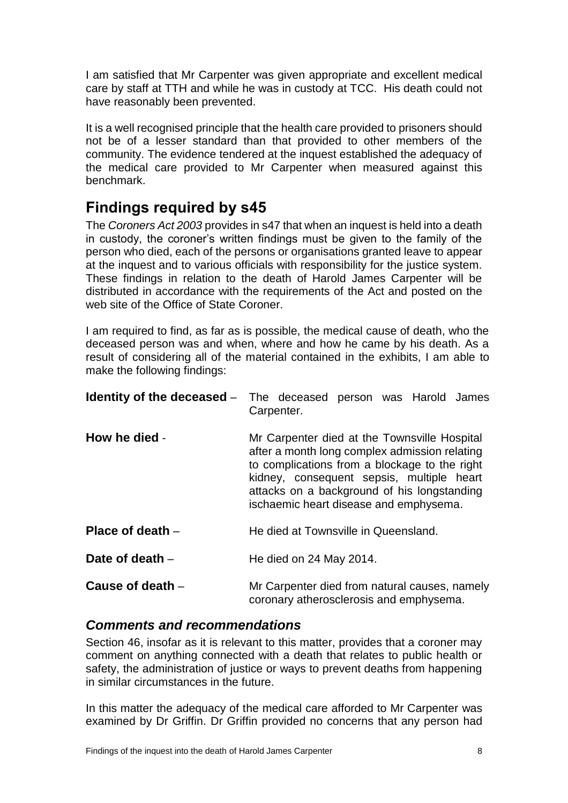I am satisfied that Mr Carpenter was given appropriate and excellent medical care by staff at TTH and while he was in custody at TCC. His death could not have reasonably been prevented.

It is a well recognised principle that the health care provided to prisoners should not be of a lesser standard than that provided to other members of the community. The evidence tendered at the inquest established the adequacy of the medical care provided to Mr Carpenter when measured against this benchmark.

## <span id="page-9-0"></span>**Findings required by s45**

The *Coroners Act 2003* provides in s47 that when an inquest is held into a death in custody, the coroner's written findings must be given to the family of the person who died, each of the persons or organisations granted leave to appear at the inquest and to various officials with responsibility for the justice system. These findings in relation to the death of Harold James Carpenter will be distributed in accordance with the requirements of the Act and posted on the web site of the Office of State Coroner.

I am required to find, as far as is possible, the medical cause of death, who the deceased person was and when, where and how he came by his death. As a result of considering all of the material contained in the exhibits, I am able to make the following findings:

<span id="page-9-2"></span><span id="page-9-1"></span>

| Identity of the deceased - | The deceased person was Harold James<br>Carpenter.                                                                                                                                                                                                                                   |
|----------------------------|--------------------------------------------------------------------------------------------------------------------------------------------------------------------------------------------------------------------------------------------------------------------------------------|
| How he died -              | Mr Carpenter died at the Townsville Hospital<br>after a month long complex admission relating<br>to complications from a blockage to the right<br>kidney, consequent sepsis, multiple heart<br>attacks on a background of his longstanding<br>ischaemic heart disease and emphysema. |
| Place of death $-$         | He died at Townsville in Queensland.                                                                                                                                                                                                                                                 |
| Date of death $-$          | He died on 24 May 2014.                                                                                                                                                                                                                                                              |
| Cause of death -           | Mr Carpenter died from natural causes, namely<br>coronary atherosclerosis and emphysema.                                                                                                                                                                                             |

#### <span id="page-9-6"></span><span id="page-9-5"></span><span id="page-9-4"></span><span id="page-9-3"></span>*Comments and recommendations*

Section 46, insofar as it is relevant to this matter, provides that a coroner may comment on anything connected with a death that relates to public health or safety, the administration of justice or ways to prevent deaths from happening in similar circumstances in the future.

In this matter the adequacy of the medical care afforded to Mr Carpenter was examined by Dr Griffin. Dr Griffin provided no concerns that any person had